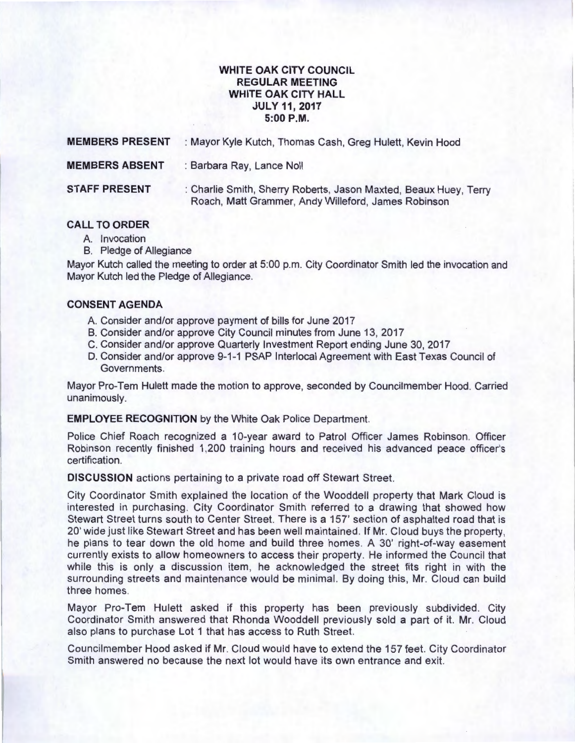# **WHITE OAK CITY COUNCIL REGULAR MEETING WHITE OAK CITY HALL JULY11,2017 5:00P.M.**

| <b>MEMBERS PRESENT</b> | : Mayor Kyle Kutch, Thomas Cash, Greg Hulett, Kevin Hood                                                                |
|------------------------|-------------------------------------------------------------------------------------------------------------------------|
| <b>MEMBERS ABSENT</b>  | : Barbara Ray, Lance Noll                                                                                               |
| <b>STAFF PRESENT</b>   | : Charlie Smith, Sherry Roberts, Jason Maxted, Beaux Huey, Terry<br>Roach, Matt Grammer, Andy Willeford, James Robinson |

## **CALL TO ORDER**

- A. Invocation
- B. Pledge of Allegiance

Mayor Kutch called the meeting to order at 5:00 p.m. City Coordinator Smith led the invocation and Mayor Kutch led the Pledge of Allegiance.

### **CONSENT AGENDA**

- A. Consider and/or approve payment of bills for June 2017
- B. Consider and/or approve City Council minutes from June 13, 2017
- C. Consider and/or approve Quarterly Investment Report ending June 30, 2017
- D. Consider and/or approve 9-1-1 PSAP lnterlocal Agreement with East Texas Council of Governments.

Mayor Pro-Tem Hulett made the motion to approve, seconded by Councilmember Hood. Carried unanimously.

**EMPLOYEE RECOGNITION** by the White Oak Police Department.

Police Chief Roach recognized a 10-year award to Patrol Officer James Robinson. Officer Robinson recently finished 1,200 training hours and received his advanced peace officer's certification.

**DISCUSSION** actions pertaining to a private road off Stewart Street.

City Coordinator Smith explained the location of the Wooddell property that Mark Cloud is interested in purchasing. City Coordinator Smith referred to a drawing that showed how Stewart Street turns south to Center Street. There is a 157' section of asphalted road that is 20' wide just like Stewart Street and has been well maintained. If Mr. Cloud buys the property, he plans to tear down the old home and build three homes. A 30' right-of-way easement currently exists to allow homeowners to access their property. He informed the Council that while this is only a discussion item, he acknowledged the street fits right in with the surrounding streets and maintenance would be minimal. By doing this, Mr. Cloud can build three homes.

Mayor Pro-Tem Hulett asked if this property has been previously subdivided . City Coordinator Smith answered that Rhonda Wooddell previously sold a part of it. Mr. Cloud also plans to purchase Lot 1 that has access to Ruth Street.

Councilmember Hood asked if Mr. Cloud would have to extend the 157 feet. City Coordinator Smith answered no because the next lot would have its own entrance and exit.